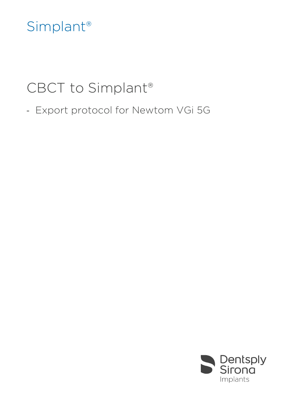## Simplant®

# CBCT to Simplant®

- Export protocol for Newtom VGi 5G

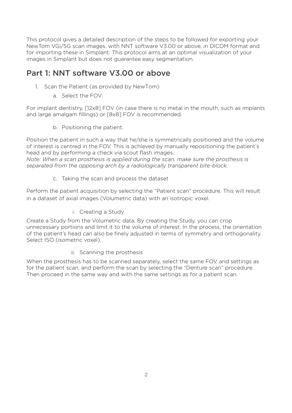This protocol gives a detailed description of the steps to be followed for exporting your NewTom VGi/5G scan images, with NNT software V3.00 or above, in DICOM format and for importing these in Simplant. This protocol aims at an optimal visualization of your images in Simplant but does not guarantee easy segmentation.

### Part 1: NNT software V3.00 or above

- 1. Scan the Patient (as provided by NewTom)
	- a. Select the FOV:

For implant dentistry, [12x8] FOV (in case there is no metal in the mouth, such as implants and large amalgam fillings) or [8x8] FOV is recommended.

b. Positioning the patient:

Position the patient in such a way that he/she is symmetrically positioned and the volume of interest is centred in the FOV. This is achieved by manually repositioning the patient's head and by performing a check via scout flash images.

*Note: When a scan prosthesis is applied during the scan, make sure the prosthesis is separated from the opposing arch by a radiologically transparent bite-block.*

c. Taking the scan and process the dataset

Perform the patient acquisition by selecting the "Patient scan" procedure. This will result in a dataset of axial images (Volumetric data) with an isotropic voxel.

i. Creating a Study

Create a Study from the Volumetric data. By creating the Study, you can crop unnecessary portions and limit it to the volume of interest. In the process, the orientation of the patient's head can also be finely adjusted in terms of symmetry and orthogonality. Select ISO (isometric voxel).

ii. Scanning the prosthesis

When the prosthesis has to be scanned separately, select the same FOV and settings as for the patient scan, and perform the scan by selecting the "Denture scan" procedure. Then proceed in the same way and with the same settings as for a patient scan.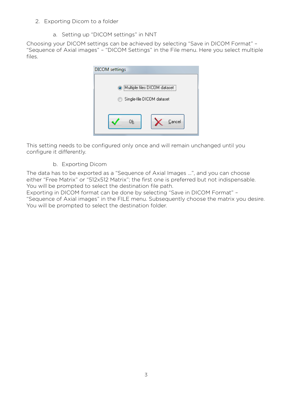#### 2. Exporting Dicom to a folder

a. Setting up "DICOM settings" in NNT

Choosing your DICOM settings can be achieved by selecting "Save in DICOM Format" – "Sequence of Axial images" – "DICOM Settings" in the File menu. Here you select multiple files.

| <b>DICOM</b> settings |                                                           |
|-----------------------|-----------------------------------------------------------|
| m                     | Multiple files DICOM dataset<br>Single-file DICOM dataset |
| Οk                    | <u>C</u> ancel                                            |

This setting needs to be configured only once and will remain unchanged until you configure it differently.

#### b. Exporting Dicom

The data has to be exported as a "Sequence of Axial Images …", and you can choose either "Free Matrix" or "512x512 Matrix"; the first one is preferred but not indispensable. You will be prompted to select the destination file path.

Exporting in DICOM format can be done by selecting "Save in DICOM Format" – "Sequence of Axial images" in the FILE menu. Subsequently choose the matrix you desire. You will be prompted to select the destination folder.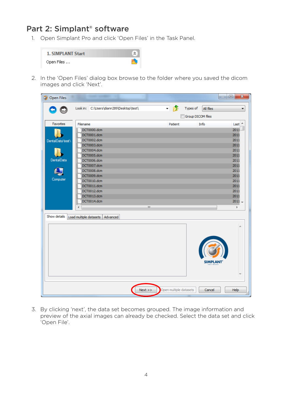## Part 2: Simplant® software

1. Open Simplant Pro and click 'Open Files' in the Task Panel.

| <b>1. SIMPLANT Start</b> | 숫 |
|--------------------------|---|
| Open Files               |   |

2. In the 'Open Files' dialog box browse to the folder where you saved the dicom images and click 'Next'.

| <b>Open Files</b>                                 |                                                                                                                                                                                                                | $\Box$<br><b>COLLEGE</b>                                                                                     | $\mathbf{x}$ |
|---------------------------------------------------|----------------------------------------------------------------------------------------------------------------------------------------------------------------------------------------------------------------|--------------------------------------------------------------------------------------------------------------|--------------|
|                                                   | Look in: C:\Users\diann289\Desktop\test\                                                                                                                                                                       | 一步<br>Types of<br>All files<br>Group DICOM files                                                             | ▼            |
| Favorites                                         | Filename                                                                                                                                                                                                       | <b>Info</b><br>Patient<br>Last ^                                                                             |              |
| DentalData\test\<br><b>DentalData</b><br>Computer | DCT0000.dcm<br>DCT0001.dcm<br>DCT0002.dcm<br>DCT0003.dcm<br>DCT0004.dcm<br>DCT0005.dcm<br>DCT0006.dcm<br>DCT0007.dcm<br>DCT0008.dcm<br>DCT0009.dcm<br>DCT0010.dcm<br>DCT0011.dcm<br>DCT0012.dcm<br>DCT0013.dcm | 2011<br>2011<br>2011<br>2011<br>2011<br>2011<br>2011<br>2011<br>2011<br>2011<br>2011<br>2011<br>2011<br>2011 |              |
|                                                   | DCT0014.dcm                                                                                                                                                                                                    | $2011 -$                                                                                                     |              |
| Show details                                      | m,<br>∢<br>Load multiple datasets   Advanced                                                                                                                                                                   | Þ                                                                                                            |              |
|                                                   |                                                                                                                                                                                                                | <b>SIMPLANT</b>                                                                                              |              |
|                                                   |                                                                                                                                                                                                                |                                                                                                              |              |
|                                                   | Next                                                                                                                                                                                                           | Open multiple datasets<br>Cancel<br>Help                                                                     |              |

3. By clicking 'next', the data set becomes grouped. The image information and preview of the axial images can already be checked. Select the data set and click 'Open File'.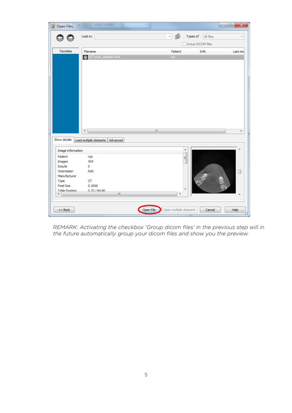| <b>Open Files</b><br>Ch   |                                 | $\mathbf{x}$<br>$\Box$<br>$\qquad \qquad$             |
|---------------------------|---------------------------------|-------------------------------------------------------|
|                           | Look in:                        | Types of<br>All files<br>Group DICOM files            |
| Favorites                 | Filename                        | Info<br>Patient<br>Last mo                            |
|                           | <b>DCT</b> scan_dataset.dcm     | n/a                                                   |
|                           | $\blacktriangleleft$            | m,<br>k                                               |
| Show details              | Load multiple datasets Advanced |                                                       |
| Image information         |                                 | ▲                                                     |
| Patient                   | n/a                             | Ξ                                                     |
| Images                    | 424                             |                                                       |
| Scouts                    | 0                               |                                                       |
| Orientation               | <b>RAX</b>                      | Ш                                                     |
| Manufacturer              | CT                              |                                                       |
| Type<br><b>Pixel Size</b> | 0.2000                          |                                                       |
| <b>Table Position</b>     | 0.20/84.80                      |                                                       |
| ۰                         | $\mathbf{H}$                    | þ.                                                    |
| $<<$ Back                 |                                 | Open multiple datasets<br>Help<br>Open File<br>Cancel |

*REMARK: Activating the checkbox 'Group dicom files' in the previous step will in the future automatically group your dicom files and show you the preview.*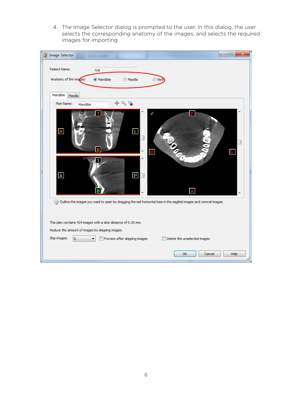4. The Image Selector dialog is prompted to the user. In this dialog, the user selects the corresponding anatomy of the images, and selects the required images for importing.

| <b>Image Selector</b>                                                |                                                                                                  | $\mathbf{x}$<br>▣                                                                                                           |
|----------------------------------------------------------------------|--------------------------------------------------------------------------------------------------|-----------------------------------------------------------------------------------------------------------------------------|
| Patient Name:                                                        | n/a                                                                                              |                                                                                                                             |
| Anatomy of the images:                                               | @ Mandible<br><b>Maxilla</b>                                                                     | <b>Both</b>                                                                                                                 |
| Mandible<br>Maxilla                                                  |                                                                                                  |                                                                                                                             |
| Plan Name:<br>Mandible                                               | $+99$                                                                                            |                                                                                                                             |
| $\overline{\mathbf{R}}$                                              | Ε<br>$\overline{B}$                                                                              | P<br><b>CODEC</b><br>$\mathbf{R}$<br>L                                                                                      |
| $\overline{\mathbf{A}}$                                              | т<br>$\boxed{\mathbf{P}}$<br>B                                                                   | A<br>(3) Outline the images you want to open by dragging the red horizontal bars in the sagittal images and coronal images. |
| Reduce the amount of images by skipping images.<br>Skip images:<br>0 | This plan contains 424 images with a slice distance of 0.20 mm.<br>Preview after skipping images | Delete the unselected images<br>E                                                                                           |
|                                                                      |                                                                                                  | OK<br>Cancel<br>Help                                                                                                        |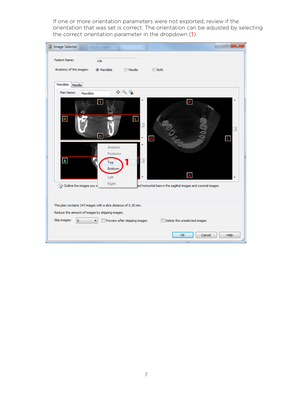If one or more orientation parameters were not exported, review if the orientation that was set is correct. The orientation can be adjusted by selecting the correct orientation parameter in the dropdown (1).

| <b>Image Selector</b>                                           |                       |                               | $\overline{\mathbf{x}}$<br>$\Box$<br>$\overline{\phantom{a}}$  |
|-----------------------------------------------------------------|-----------------------|-------------------------------|----------------------------------------------------------------|
| <b>Patient Name:</b>                                            | n/a                   |                               |                                                                |
| Anatomy of the images:                                          | @ Mandible            | <b>Maxilla</b>                | ◯ Both                                                         |
| Mandible<br>Maxilla                                             |                       |                               |                                                                |
| Plan Name:<br>Mandible                                          |                       | $+99$                         |                                                                |
|                                                                 | т                     |                               | P.                                                             |
| E                                                               |                       | τ                             |                                                                |
|                                                                 | B                     |                               | $\blacksquare$<br>L                                            |
|                                                                 | Anterior<br>Posterior |                               |                                                                |
| $\overline{\mathbf{A}}$                                         | Top<br>Bottom         |                               |                                                                |
|                                                                 | Left                  |                               |                                                                |
| Outline the images you w                                        | Right                 |                               | red horizontal bars in the sagittal images and coronal images. |
| This plan contains 247 images with a slice distance of 0.20 mm. |                       |                               |                                                                |
| Reduce the amount of images by skipping images.                 |                       |                               |                                                                |
| Skip images:<br>$\circ$                                         |                       | Preview after skipping images | Delete the unselected images                                   |
|                                                                 |                       |                               | OK<br>Cancel<br>Help                                           |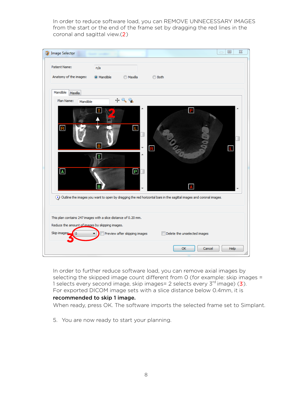In order to reduce software load, you can REMOVE UNNECESSARY IMAGES from the start or the end of the frame set by dragging the red lines in the coronal and sagittal view.(2)



In order to further reduce software load, you can remove axial images by selecting the skipped image count different from 0 (for example: skip images = 1 selects every second image, skip images= 2 selects every  $3^{rd}$  image) (3). For exported DICOM image sets with a slice distance below 0.4mm, it is

#### recommended to skip 1 image.

When ready, press OK. The software imports the selected frame set to Simplant.

5. You are now ready to start your planning.